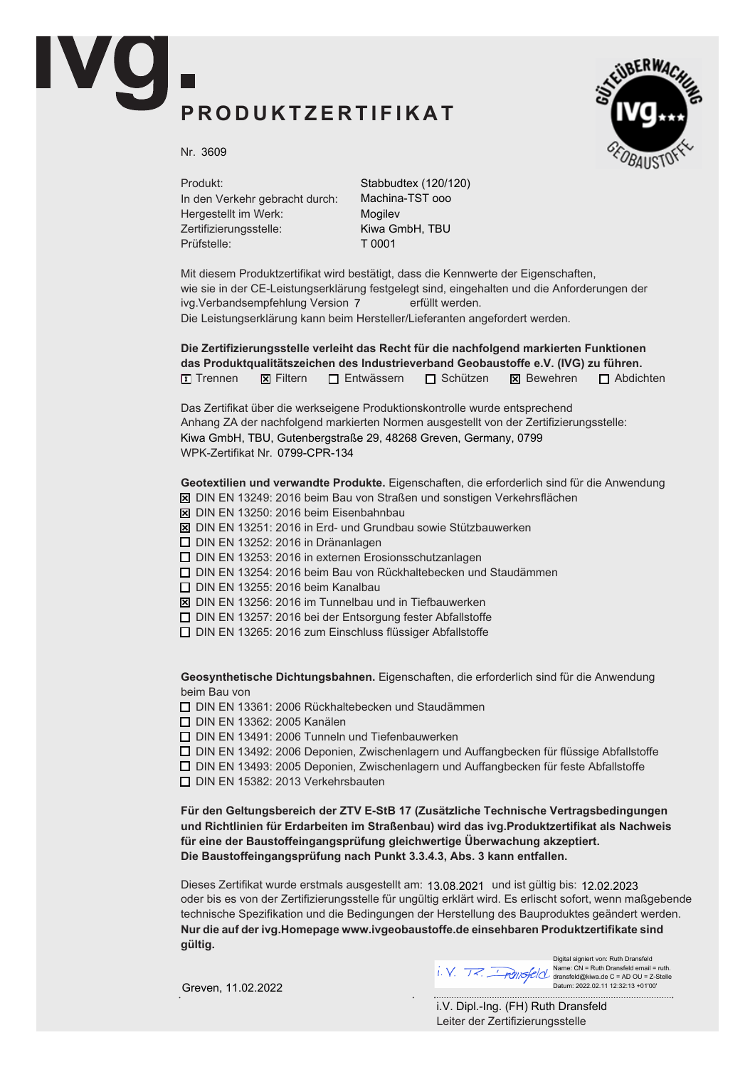## *P R O D U K T ZE R T I F I K A T*



*Nr.* 3609

*Produkt: In den Verkehr gebracht durch: Hergestellt im Werk: Zertifizierungsstelle: Prüfstelle:*

Stabbudtex (120/120) Machina-TST ooo Mogilev Kiwa GmbH, TBU T 0001

*Mit diesem Produktzertifikat wird bestätigt, dass die Kennwerte der Eigenschaften, wie sie in der CE-Leistungserklärung festgelegt sind, eingehalten und die Anforderungen der ivg.Verbandsempfehlung Version erfüllt werden.* 7 *Die Leistungserklärung kann beim Hersteller/Lieferanten angefordert werden.*

■ *Trennen* ■ *Filtern* ■ *Entwässern* ■ *Schützen* ■ *Bewehren* ■ *Abdichten Die Zertifizierungsstelle verleiht das Recht für die nachfolgend markierten Funktionen das Produktqualitätszeichen des Industrieverband Geo***bau***stoffe e.V. (IVG) zu führen.*

*Das Zertifikat über die werkseigene Produktionskontrolle wurde entsprechend Anhang ZA der nachfolgend markierten Normen ausgestellt von der Zertifizierungsstelle: WPK-Zertifikat Nr.* Kiwa GmbH, TBU, Gutenbergstraße 29, 48268 Greven, Germany, 0799

*Geotextilien und verwandte Produkte. Eigenschaften, die erforderlich sind für die Anwendung*

■ *DIN EN 13249: 2016 beim Bau von Straßen und sonstigen Verkehrsflächen*

- *DIN EN 13250: 2016 beim Eisenbahnbau*
- *DIN EN 13251: 2016 in Erd- und Grundbau sowie Stützbauwerken*
- *DIN EN 13252: 2016 in Dränanlagen*
- *DIN EN 13253: 2016 in externen Erosionsschutzanlagen*
- *DIN EN 13254: 2016 beim Bau von Rückhaltebecken und Staudämmen*
- *DIN EN 13255: 2016 beim Kanalbau*
- *DIN EN 13256: 2016 im Tunnelbau und in Tiefbauwerken*
- *DIN EN 13257: 2016 bei der Entsorgung fester Abfallstoffe*
- *DIN EN 13265: 2016 zum Einschluss flüssiger Abfallstoffe*

*Geosynthetische Dichtungsbahnen. Eigenschaften, die erforderlich sind für die Anwendung beim Bau von*

■ *DIN EN 13361: 2006 Rückhaltebecken und Staudämmen*

■ *DIN EN 13362: 2005 Kanälen*

■ *DIN EN 13491: 2006 Tunneln und Tiefenbauwerken*

■ *DIN EN 13492: 2006 Deponien, Zwischenlagern und Auffangbecken für flüssige Abfallstoffe*

■ *DIN EN 13493: 2005 Deponien, Zwischenlagern und Auffangbecken für feste Abfallstoffe*

■ *DIN EN 15382: 2013 Verkehrsbauten*

*Für den Geltungsbereich der ZTV E-StB 17 (Zusätzliche Technische Vertragsbedingungen und Richtlinien für Erdarbeiten im Straßenbau) wird das ivg.Produktzertifikat als Nachweis für eine der Baustoffeingangsprüfung gleichwertige Überwachung akzeptiert. Die Baustoffeingangsprüfung nach Punkt 3.3.4.3, Abs. 3 kann entfallen.*

Dieses Zertifikat wurde erstmals ausgestellt am: 13.08.2021 und ist gültig bis: 12.02.2023 *oder bis es von der Zertifizierungsstelle für ungültig erklärt wird. Es erlischt sofort, wenn maßgebende technische Spezifikation und die Bedingungen der Herstellung des Bauproduktes geändert werden. Nur die auf der ivg.Homepage www.ivgeo***bau***stoffe.de einsehbaren Produktzertifikate sind gültig.*

Greven, 11.02.2022

Digital signiert von: Ruth Dransfeld Name: CN = Ruth Dransfeld email = ruth. dransfeld@kiwa.de C = AD OU = Z-Stelle Datum: 2022.02.11 12:32:13 +01'00'

*Leiter der Zertifizierungsstelle* i.V. Dipl.-Ing. (FH) Ruth Dransfeld